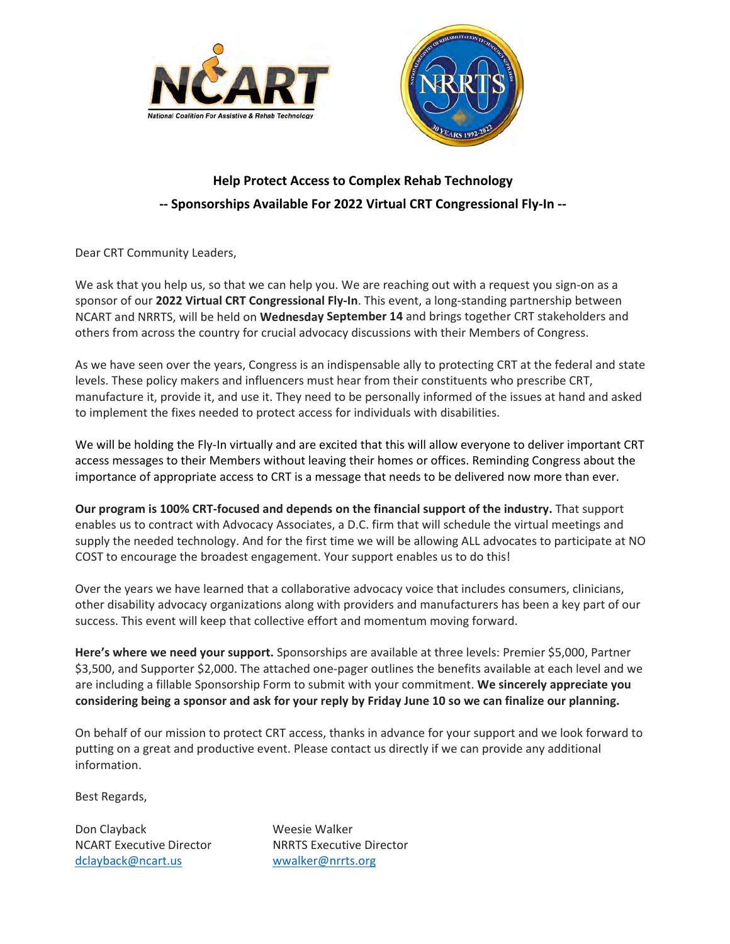



## **Help Protect Access to Complex Rehab Technology ‐‐ Sponsorships Available For 2022 Virtual CRT Congressional Fly‐In ‐‐**

Dear CRT Community Leaders,

We ask that you help us, so that we can help you. We are reaching out with a request you sign-on as a sponsor of our **2022 Virtual CRT Congressional Fly‐In**. This event, a long‐standing partnership between NCART and NRRTS, will be held on **Wednesday September 14** and brings together CRT stakeholders and others from across the country for crucial advocacy discussions with their Members of Congress.

As we have seen over the years, Congress is an indispensable ally to protecting CRT at the federal and state levels. These policy makers and influencers must hear from their constituents who prescribe CRT, manufacture it, provide it, and use it. They need to be personally informed of the issues at hand and asked to implement the fixes needed to protect access for individuals with disabilities.

We will be holding the Fly-In virtually and are excited that this will allow everyone to deliver important CRT access messages to their Members without leaving their homes or offices. Reminding Congress about the importance of appropriate access to CRT is a message that needs to be delivered now more than ever.

**Our program is 100% CRT‐focused and depends on the financial support of the industry.** That support enables us to contract with Advocacy Associates, a D.C. firm that will schedule the virtual meetings and supply the needed technology. And for the first time we will be allowing ALL advocates to participate at NO COST to encourage the broadest engagement. Your support enables us to do this!

Over the years we have learned that a collaborative advocacy voice that includes consumers, clinicians, other disability advocacy organizations along with providers and manufacturers has been a key part of our success. This event will keep that collective effort and momentum moving forward.

**Here's where we need your support.** Sponsorships are available at three levels: Premier \$5,000, Partner \$3,500, and Supporter \$2,000. The attached one‐pager outlines the benefits available at each level and we are including a fillable Sponsorship Form to submit with your commitment. **We sincerely appreciate you** considering being a sponsor and ask for your reply by Friday June 10 so we can finalize our planning.

On behalf of our mission to protect CRT access, thanks in advance for your support and we look forward to putting on a great and productive event. Please contact us directly if we can provide any additional information.

Best Regards,

Don Clayback Weesie Walker dclayback@ncart.us wwalker@nrrts.org

NCART Executive Director NRRTS Executive Director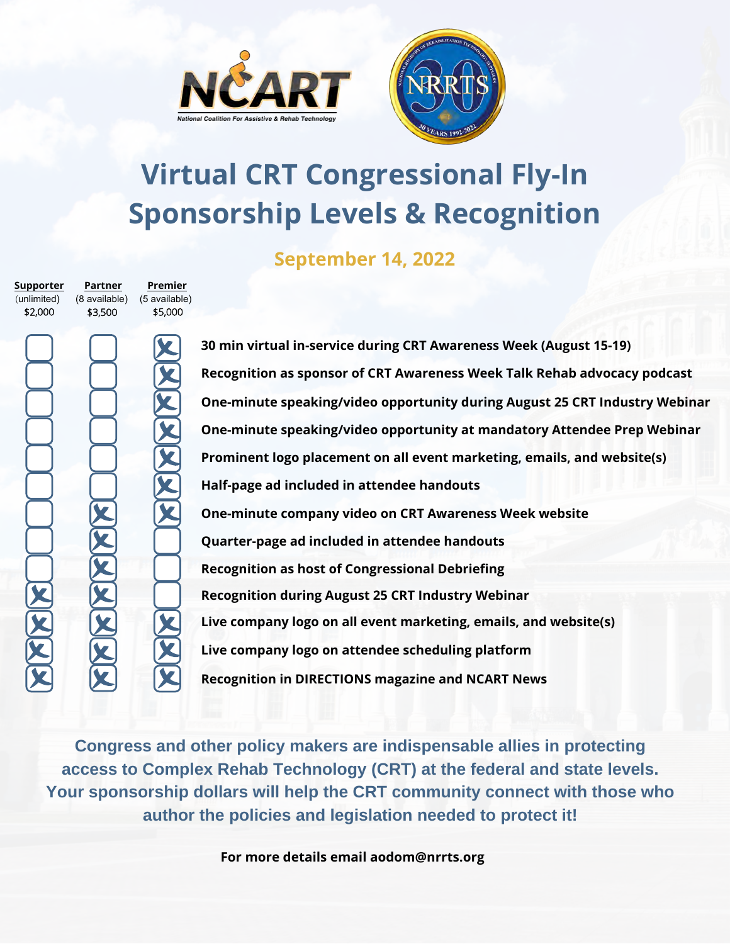



## **Virtual CRT Congressional Fly-In Sponsorship Levels & Recognition**

**September 14, 2022**

| (unlimited) | (8 available) | (5 available) |
|-------------|---------------|---------------|
|             |               |               |
| \$2,000     | \$3,500       | \$5,000       |
|             |               |               |
|             |               |               |
|             |               |               |
|             |               |               |
|             |               |               |
|             |               |               |

**Partner** 

**Supporter**

**Premier** 

**30 min virtual in-service during CRT Awareness Week (August 15-19) Recognition as sponsor of CRT Awareness Week Talk Rehab advocacy podcast One-minute speaking/video opportunity during August 25 CRT Industry Webinar One-minute speaking/video opportunity at mandatory Attendee Prep Webinar Half-page ad included in attendee handouts Recognition during August 25 CRT Industry Webinar One-minute company video on CRT Awareness Week website Recognition as host of Congressional Debriefing Live company logo on all event marketing, emails, and website(s) Live company logo on attendee scheduling platform Recognition in DIRECTIONS magazine and NCART News Quarter-page ad included in attendee handouts Prominent logo placement on all event marketing, emails, and website(s)**

**Congress and other policy makers are indispensable allies in protecting access to Complex Rehab Technology (CRT) at the federal and state levels. Your sponsorship dollars will help the CRT community connect with those who author the policies and legislation needed to protect it!**

**For more details email aodom@nrrts.org**